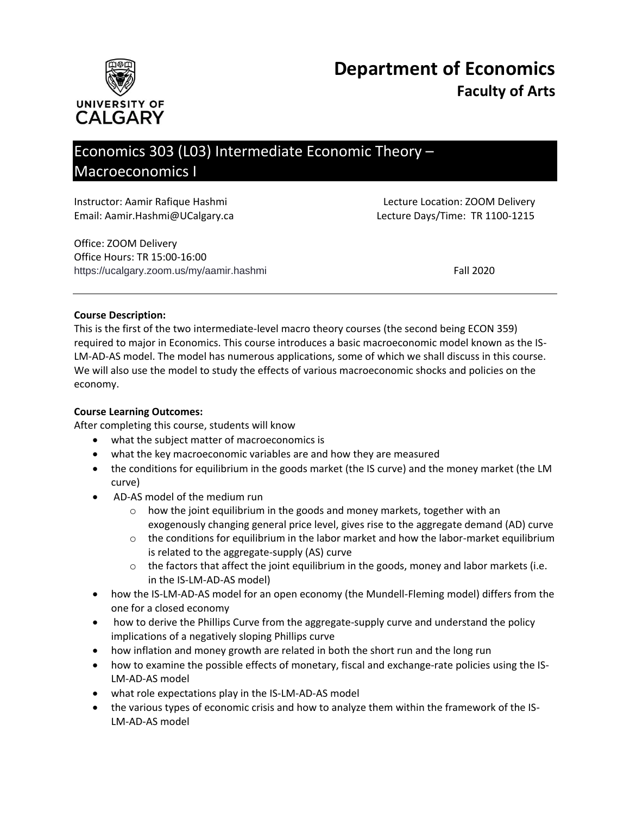



# Economics 303 (L03) Intermediate Economic Theory – Macroeconomics I

| Instructor: Aamir Rafique Hashmi |  |
|----------------------------------|--|
| Email: Aamir.Hashmi@UCalgary.ca  |  |
| $\bigcap_{i=1}^{n}$              |  |

Office: ZOOM Delivery Office Hours: TR 15:00-16:00 https://ucalgary.zoom.us/my/aamir.hashmi Fall 2020

Lecture Location: ZOOM Delivery Lecture Days/Time: TR 1100-1215

#### **Course Description:**

This is the first of the two intermediate-level macro theory courses (the second being ECON 359) required to major in Economics. This course introduces a basic macroeconomic model known as the IS-LM-AD-AS model. The model has numerous applications, some of which we shall discuss in this course. We will also use the model to study the effects of various macroeconomic shocks and policies on the economy.

# **Course Learning Outcomes:**

After completing this course, students will know

- what the subject matter of macroeconomics is
- what the key macroeconomic variables are and how they are measured
- the conditions for equilibrium in the goods market (the IS curve) and the money market (the LM curve)
- AD-AS model of the medium run
	- o how the joint equilibrium in the goods and money markets, together with an exogenously changing general price level, gives rise to the aggregate demand (AD) curve
	- $\circ$  the conditions for equilibrium in the labor market and how the labor-market equilibrium is related to the aggregate-supply (AS) curve
	- $\circ$  the factors that affect the joint equilibrium in the goods, money and labor markets (i.e. in the IS-LM-AD-AS model)
- how the IS-LM-AD-AS model for an open economy (the Mundell-Fleming model) differs from the one for a closed economy
- how to derive the Phillips Curve from the aggregate-supply curve and understand the policy implications of a negatively sloping Phillips curve
- how inflation and money growth are related in both the short run and the long run
- how to examine the possible effects of monetary, fiscal and exchange-rate policies using the IS-LM-AD-AS model
- what role expectations play in the IS-LM-AD-AS model
- the various types of economic crisis and how to analyze them within the framework of the IS-LM-AD-AS model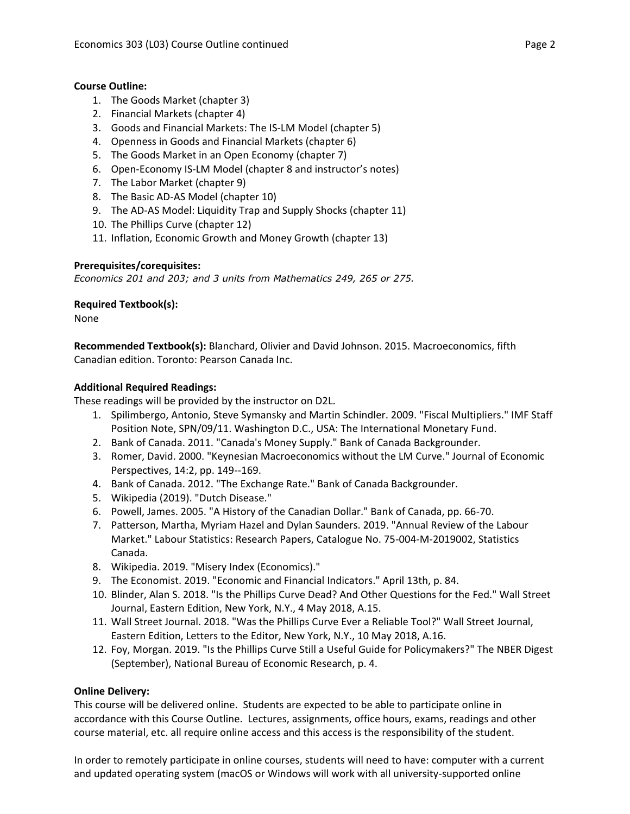# **Course Outline:**

- 1. The Goods Market (chapter 3)
- 2. Financial Markets (chapter 4)
- 3. Goods and Financial Markets: The IS-LM Model (chapter 5)
- 4. Openness in Goods and Financial Markets (chapter 6)
- 5. The Goods Market in an Open Economy (chapter 7)
- 6. Open-Economy IS-LM Model (chapter 8 and instructor's notes)
- 7. The Labor Market (chapter 9)
- 8. The Basic AD-AS Model (chapter 10)
- 9. The AD-AS Model: Liquidity Trap and Supply Shocks (chapter 11)
- 10. The Phillips Curve (chapter 12)
- 11. Inflation, Economic Growth and Money Growth (chapter 13)

#### **Prerequisites/corequisites:**

*Economics 201 and 203; and 3 units from Mathematics 249, 265 or 275.*

#### **Required Textbook(s):**

None

**Recommended Textbook(s):** Blanchard, Olivier and David Johnson. 2015. Macroeconomics, fifth Canadian edition. Toronto: Pearson Canada Inc.

#### **Additional Required Readings:**

These readings will be provided by the instructor on D2L.

- 1. Spilimbergo, Antonio, Steve Symansky and Martin Schindler. 2009. "Fiscal Multipliers." IMF Staff Position Note, SPN/09/11. Washington D.C., USA: The International Monetary Fund.
- 2. Bank of Canada. 2011. "Canada's Money Supply." Bank of Canada Backgrounder.
- 3. Romer, David. 2000. "Keynesian Macroeconomics without the LM Curve." Journal of Economic Perspectives, 14:2, pp. 149--169.
- 4. Bank of Canada. 2012. "The Exchange Rate." Bank of Canada Backgrounder.
- 5. Wikipedia (2019). "Dutch Disease."
- 6. Powell, James. 2005. "A History of the Canadian Dollar." Bank of Canada, pp. 66-70.
- 7. Patterson, Martha, Myriam Hazel and Dylan Saunders. 2019. "Annual Review of the Labour Market." Labour Statistics: Research Papers, Catalogue No. 75-004-M-2019002, Statistics Canada.
- 8. Wikipedia. 2019. "Misery Index (Economics)."
- 9. The Economist. 2019. "Economic and Financial Indicators." April 13th, p. 84.
- 10. Blinder, Alan S. 2018. "Is the Phillips Curve Dead? And Other Questions for the Fed." Wall Street Journal, Eastern Edition, New York, N.Y., 4 May 2018, A.15.
- 11. Wall Street Journal. 2018. "Was the Phillips Curve Ever a Reliable Tool?" Wall Street Journal, Eastern Edition, Letters to the Editor, New York, N.Y., 10 May 2018, A.16.
- 12. Foy, Morgan. 2019. "Is the Phillips Curve Still a Useful Guide for Policymakers?" The NBER Digest (September), National Bureau of Economic Research, p. 4.

#### **Online Delivery:**

This course will be delivered online. Students are expected to be able to participate online in accordance with this Course Outline. Lectures, assignments, office hours, exams, readings and other course material, etc. all require online access and this access is the responsibility of the student.

In order to remotely participate in online courses, students will need to have: computer with a current and updated operating system (macOS or Windows will work with all university-supported online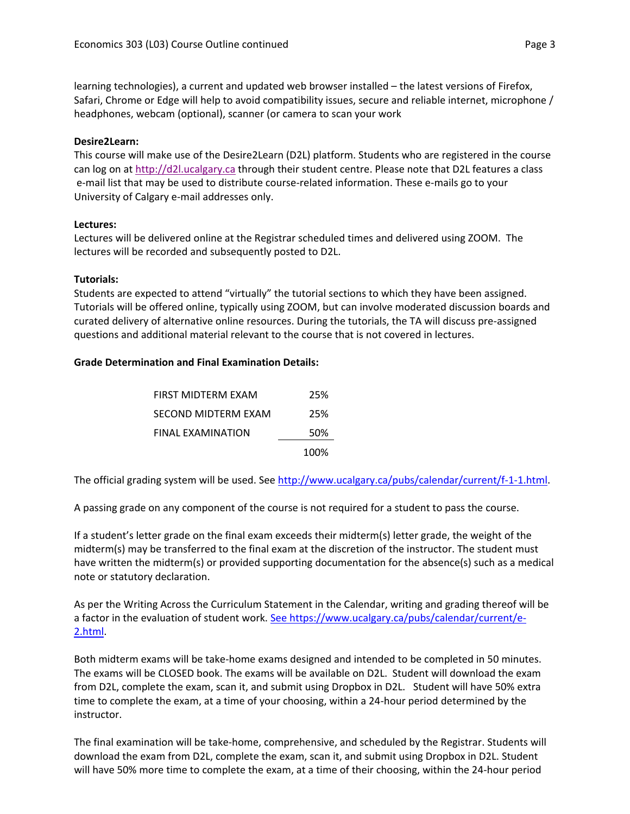learning technologies), a current and updated web browser installed – the latest versions of Firefox, Safari, Chrome or Edge will help to avoid compatibility issues, secure and reliable internet, microphone / headphones, webcam (optional), scanner (or camera to scan your work

# **Desire2Learn:**

This course will make use of the Desire2Learn (D2L) platform. Students who are registered in the course can log on a[t http://d2l.ucalgary.ca](http://d2l.ucalgary.ca/) through their student centre. Please note that D2L features a class e-mail list that may be used to distribute course-related information. These e-mails go to your University of Calgary e-mail addresses only.

#### **Lectures:**

Lectures will be delivered online at the Registrar scheduled times and delivered using ZOOM. The lectures will be recorded and subsequently posted to D2L.

#### **Tutorials:**

Students are expected to attend "virtually" the tutorial sections to which they have been assigned. Tutorials will be offered online, typically using ZOOM, but can involve moderated discussion boards and curated delivery of alternative online resources. During the tutorials, the TA will discuss pre-assigned questions and additional material relevant to the course that is not covered in lectures.

#### **Grade Determination and Final Examination Details:**

| FIRST MIDTERM EXAM  | 25%  |
|---------------------|------|
| SECOND MIDTERM EXAM | 25%  |
| FINAL EXAMINATION   | 50%  |
|                     | 100% |

The official grading system will be used. See [http://www.ucalgary.ca/pubs/calendar/current/f-1-1.html.](http://www.ucalgary.ca/pubs/calendar/current/f-1-1.html)

A passing grade on any component of the course is not required for a student to pass the course.

If a student's letter grade on the final exam exceeds their midterm(s) letter grade, the weight of the midterm(s) may be transferred to the final exam at the discretion of the instructor. The student must have written the midterm(s) or provided supporting documentation for the absence(s) such as a medical note or statutory declaration.

As per the Writing Across the Curriculum Statement in the Calendar, writing and grading thereof will be a factor in the evaluation of student work. [See https://www.ucalgary.ca/pubs/calendar/current/e-](https://www.ucalgary.ca/pubs/calendar/current/e-2.html)[2.html.](https://www.ucalgary.ca/pubs/calendar/current/e-2.html)

Both midterm exams will be take-home exams designed and intended to be completed in 50 minutes. The exams will be CLOSED book. The exams will be available on D2L. Student will download the exam from D2L, complete the exam, scan it, and submit using Dropbox in D2L. Student will have 50% extra time to complete the exam, at a time of your choosing, within a 24-hour period determined by the instructor.

The final examination will be take-home, comprehensive, and scheduled by the Registrar. Students will download the exam from D2L, complete the exam, scan it, and submit using Dropbox in D2L. Student will have 50% more time to complete the exam, at a time of their choosing, within the 24-hour period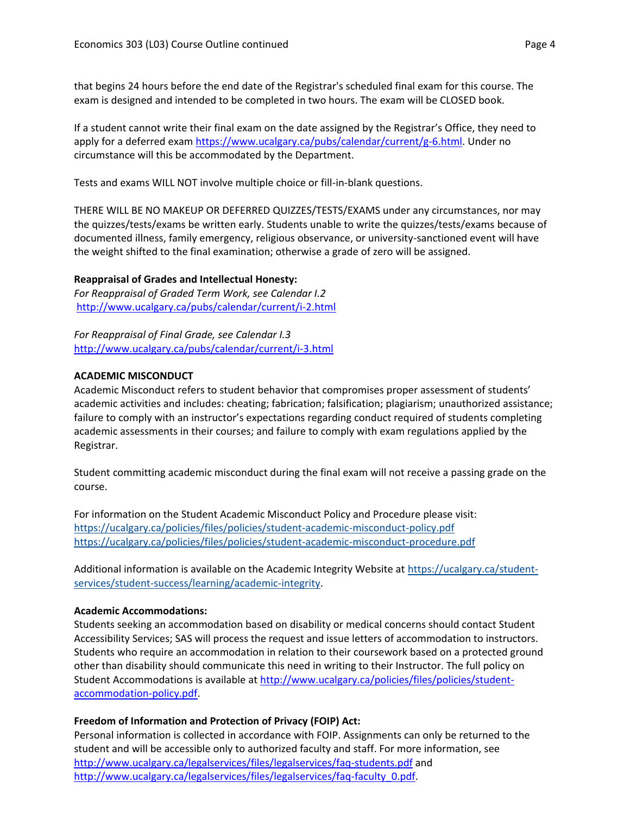that begins 24 hours before the end date of the Registrar's scheduled final exam for this course. The exam is designed and intended to be completed in two hours. The exam will be CLOSED book.

If a student cannot write their final exam on the date assigned by the Registrar's Office, they need to apply for a deferred exam [https://www.ucalgary.ca/pubs/calendar/current/g-6.html.](https://www.ucalgary.ca/pubs/calendar/current/g-6.html) Under no circumstance will this be accommodated by the Department.

Tests and exams WILL NOT involve multiple choice or fill-in-blank questions.

THERE WILL BE NO MAKEUP OR DEFERRED QUIZZES/TESTS/EXAMS under any circumstances, nor may the quizzes/tests/exams be written early. Students unable to write the quizzes/tests/exams because of documented illness, family emergency, religious observance, or university-sanctioned event will have the weight shifted to the final examination; otherwise a grade of zero will be assigned.

# **Reappraisal of Grades and Intellectual Honesty:**

*For Reappraisal of Graded Term Work, see Calendar I.2* <http://www.ucalgary.ca/pubs/calendar/current/i-2.html>

*For Reappraisal of Final Grade, see Calendar I.3* <http://www.ucalgary.ca/pubs/calendar/current/i-3.html>

# **ACADEMIC MISCONDUCT**

Academic Misconduct refers to student behavior that compromises proper assessment of students' academic activities and includes: cheating; fabrication; falsification; plagiarism; unauthorized assistance; failure to comply with an instructor's expectations regarding conduct required of students completing academic assessments in their courses; and failure to comply with exam regulations applied by the Registrar.

Student committing academic misconduct during the final exam will not receive a passing grade on the course.

For information on the Student Academic Misconduct Policy and Procedure please visit: <https://ucalgary.ca/policies/files/policies/student-academic-misconduct-policy.pdf> <https://ucalgary.ca/policies/files/policies/student-academic-misconduct-procedure.pdf>

Additional information is available on the Academic Integrity Website at [https://ucalgary.ca/student](https://ucalgary.ca/student-services/student-success/learning/academic-integrity)[services/student-success/learning/academic-integrity.](https://ucalgary.ca/student-services/student-success/learning/academic-integrity)

# **Academic Accommodations:**

Students seeking an accommodation based on disability or medical concerns should contact Student Accessibility Services; SAS will process the request and issue letters of accommodation to instructors. Students who require an accommodation in relation to their coursework based on a protected ground other than disability should communicate this need in writing to their Instructor. The full policy on Student Accommodations is available at [http://www.ucalgary.ca/policies/files/policies/student](http://www.ucalgary.ca/policies/files/policies/student-accommodation-policy.pdf)[accommodation-policy.pdf.](http://www.ucalgary.ca/policies/files/policies/student-accommodation-policy.pdf)

# **Freedom of Information and Protection of Privacy (FOIP) Act:**

Personal information is collected in accordance with FOIP. Assignments can only be returned to the student and will be accessible only to authorized faculty and staff. For more information, see <http://www.ucalgary.ca/legalservices/files/legalservices/faq-students.pdf> and [http://www.ucalgary.ca/legalservices/files/legalservices/faq-faculty\\_0.pdf.](http://www.ucalgary.ca/legalservices/files/legalservices/faq-faculty_0.pdf)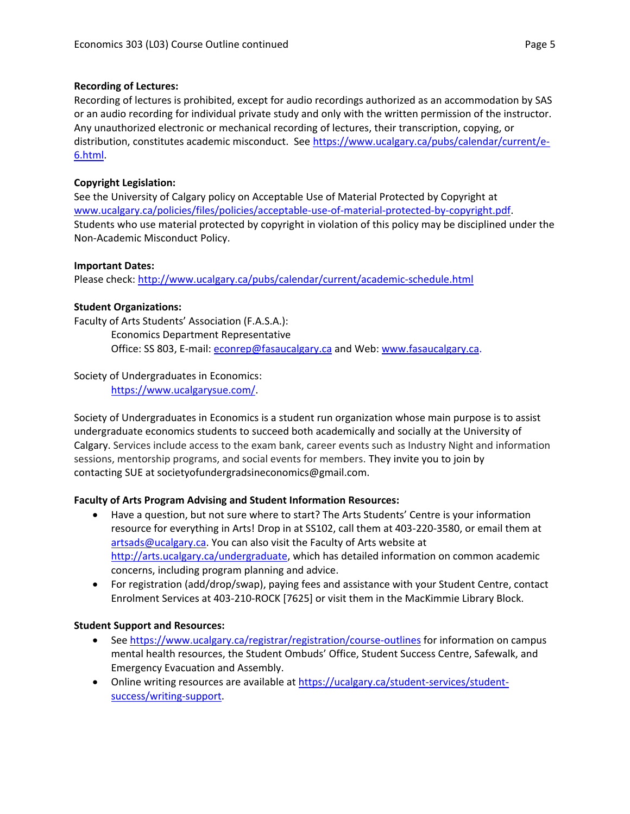#### **Recording of Lectures:**

Recording of lectures is prohibited, except for audio recordings authorized as an accommodation by SAS or an audio recording for individual private study and only with the written permission of the instructor. Any unauthorized electronic or mechanical recording of lectures, their transcription, copying, or distribution, constitutes academic misconduct. See [https://www.ucalgary.ca/pubs/calendar/current/e-](https://www.ucalgary.ca/pubs/calendar/current/e-6.html)[6.html.](https://www.ucalgary.ca/pubs/calendar/current/e-6.html)

# **Copyright Legislation:**

See the University of Calgary policy on Acceptable Use of Material Protected by Copyright at [www.ucalgary.ca/policies/files/policies/acceptable-use-of-material-protected-by-copyright.pdf.](http://www.ucalgary.ca/policies/files/policies/acceptable-use-of-material-protected-by-copyright.pdf) Students who use material protected by copyright in violation of this policy may be disciplined under the Non-Academic Misconduct Policy.

#### **Important Dates:**

Please check:<http://www.ucalgary.ca/pubs/calendar/current/academic-schedule.html>

# **Student Organizations:**

Faculty of Arts Students' Association (F.A.S.A.): Economics Department Representative

Office: SS 803, E-mail: [econrep@fasaucalgary.ca](mailto:econrep@fasaucalgary.ca) and Web: [www.fasaucalgary.ca.](http://www.fasaucalgary.ca/)

# Society of Undergraduates in Economics:

[https://www.ucalgarysue.com/.](https://www.ucalgarysue.com/)

Society of Undergraduates in Economics is a student run organization whose main purpose is to assist undergraduate economics students to succeed both academically and socially at the University of Calgary. Services include access to the exam bank, career events such as Industry Night and information sessions, mentorship programs, and social events for members. They invite you to join by contacting SUE at societyofundergradsineconomics@gmail.com.

# **Faculty of Arts Program Advising and Student Information Resources:**

- Have a question, but not sure where to start? The Arts Students' Centre is your information resource for everything in Arts! Drop in at SS102, call them at 403-220-3580, or email them at [artsads@ucalgary.ca.](mailto:artsads@ucalgary.ca) You can also visit the Faculty of Arts website at [http://arts.ucalgary.ca/undergraduate,](http://arts.ucalgary.ca/undergraduate) which has detailed information on common academic concerns, including program planning and advice.
- For registration (add/drop/swap), paying fees and assistance with your Student Centre, contact Enrolment Services at 403-210-ROCK [7625] or visit them in the MacKimmie Library Block.

# **Student Support and Resources:**

- See<https://www.ucalgary.ca/registrar/registration/course-outlines> for information on campus mental health resources, the Student Ombuds' Office, Student Success Centre, Safewalk, and Emergency Evacuation and Assembly.
- Online writing resources are available at [https://ucalgary.ca/student-services/student](https://ucalgary.ca/student-services/student-success/writing-support)[success/writing-support.](https://ucalgary.ca/student-services/student-success/writing-support)